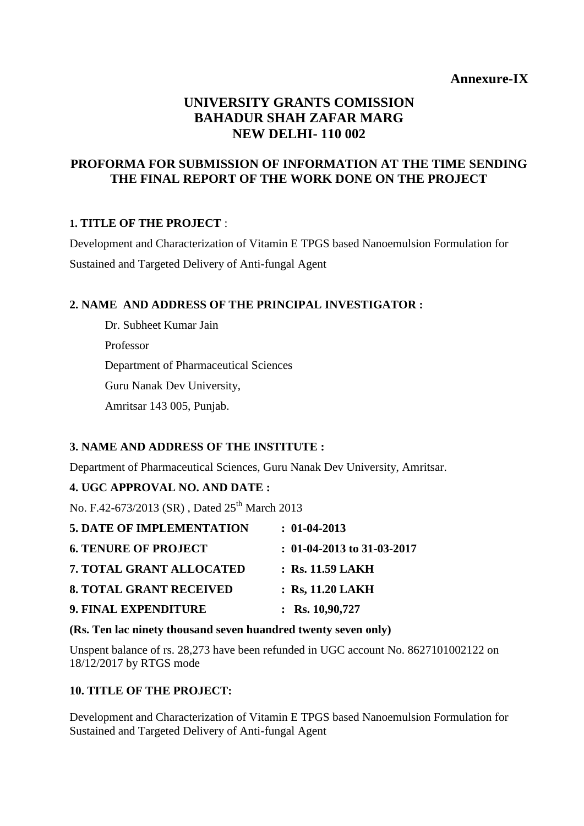# **Annexure-IX**

# **UNIVERSITY GRANTS COMISSION BAHADUR SHAH ZAFAR MARG NEW DELHI- 110 002**

# **PROFORMA FOR SUBMISSION OF INFORMATION AT THE TIME SENDING THE FINAL REPORT OF THE WORK DONE ON THE PROJECT**

# **1. TITLE OF THE PROJECT** :

Development and Characterization of Vitamin E TPGS based Nanoemulsion Formulation for Sustained and Targeted Delivery of Anti-fungal Agent

# **2. NAME AND ADDRESS OF THE PRINCIPAL INVESTIGATOR :**

Dr. Subheet Kumar Jain Professor Department of Pharmaceutical Sciences Guru Nanak Dev University, Amritsar 143 005, Punjab.

### **3. NAME AND ADDRESS OF THE INSTITUTE :**

Department of Pharmaceutical Sciences, Guru Nanak Dev University, Amritsar.

# **4. UGC APPROVAL NO. AND DATE :**

No. F.42-673/2013 (SR), Dated 25<sup>th</sup> March 2013

| <b>5. DATE OF IMPLEMENTATION</b> | $: 01-04-2013$               |
|----------------------------------|------------------------------|
| <b>6. TENURE OF PROJECT</b>      | $: 01-04-2013$ to 31-03-2017 |
| 7. TOTAL GRANT ALLOCATED         | $:$ Rs. 11.59 LAKH           |
| <b>8. TOTAL GRANT RECEIVED</b>   | $:$ Rs, 11.20 LAKH           |
| 9. FINAL EXPENDITURE             | : Rs. $10,90,727$            |

### **(Rs. Ten lac ninety thousand seven huandred twenty seven only)**

Unspent balance of rs. 28,273 have been refunded in UGC account No. 8627101002122 on 18/12/2017 by RTGS mode

# **10. TITLE OF THE PROJECT:**

Development and Characterization of Vitamin E TPGS based Nanoemulsion Formulation for Sustained and Targeted Delivery of Anti-fungal Agent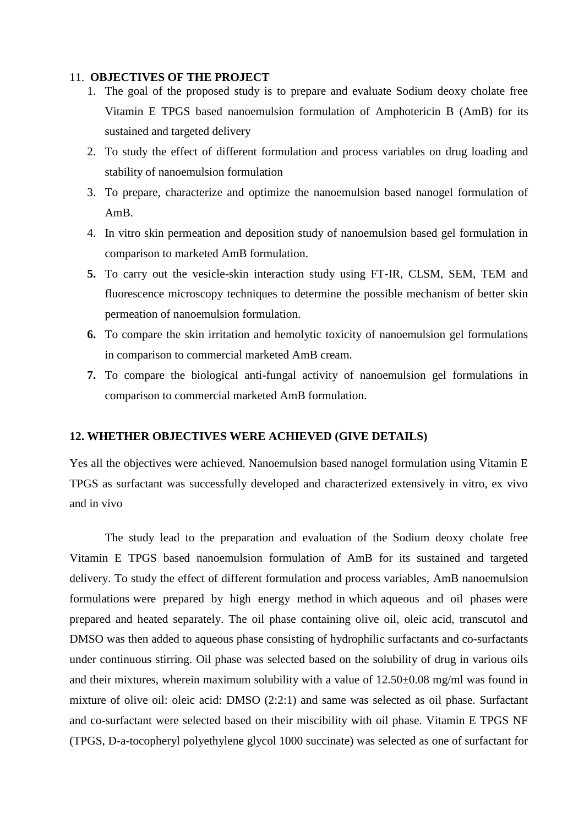#### 11. **OBJECTIVES OF THE PROJECT**

- 1. The goal of the proposed study is to prepare and evaluate Sodium deoxy cholate free Vitamin E TPGS based nanoemulsion formulation of Amphotericin B (AmB) for its sustained and targeted delivery
- 2. To study the effect of different formulation and process variables on drug loading and stability of nanoemulsion formulation
- 3. To prepare, characterize and optimize the nanoemulsion based nanogel formulation of AmB.
- 4. In vitro skin permeation and deposition study of nanoemulsion based gel formulation in comparison to marketed AmB formulation.
- **5.** To carry out the vesicle-skin interaction study using FT-IR, CLSM, SEM, TEM and fluorescence microscopy techniques to determine the possible mechanism of better skin permeation of nanoemulsion formulation.
- **6.** To compare the skin irritation and hemolytic toxicity of nanoemulsion gel formulations in comparison to commercial marketed AmB cream.
- **7.** To compare the biological anti-fungal activity of nanoemulsion gel formulations in comparison to commercial marketed AmB formulation.

### **12. WHETHER OBJECTIVES WERE ACHIEVED (GIVE DETAILS)**

Yes all the objectives were achieved. Nanoemulsion based nanogel formulation using Vitamin E TPGS as surfactant was successfully developed and characterized extensively in vitro, ex vivo and in vivo

The study lead to the preparation and evaluation of the Sodium deoxy cholate free Vitamin E TPGS based nanoemulsion formulation of AmB for its sustained and targeted delivery. To study the effect of different formulation and process variables, AmB nanoemulsion formulations were prepared by high energy method in which aqueous and oil phases were prepared and heated separately. The oil phase containing olive oil, oleic acid, transcutol and DMSO was then added to aqueous phase consisting of hydrophilic surfactants and co-surfactants under continuous stirring. Oil phase was selected based on the solubility of drug in various oils and their mixtures, wherein maximum solubility with a value of  $12.50\pm0.08$  mg/ml was found in mixture of olive oil: oleic acid: DMSO (2:2:1) and same was selected as oil phase. Surfactant and co-surfactant were selected based on their miscibility with oil phase. Vitamin E TPGS NF (TPGS, D-a-tocopheryl polyethylene glycol 1000 succinate) was selected as one of surfactant for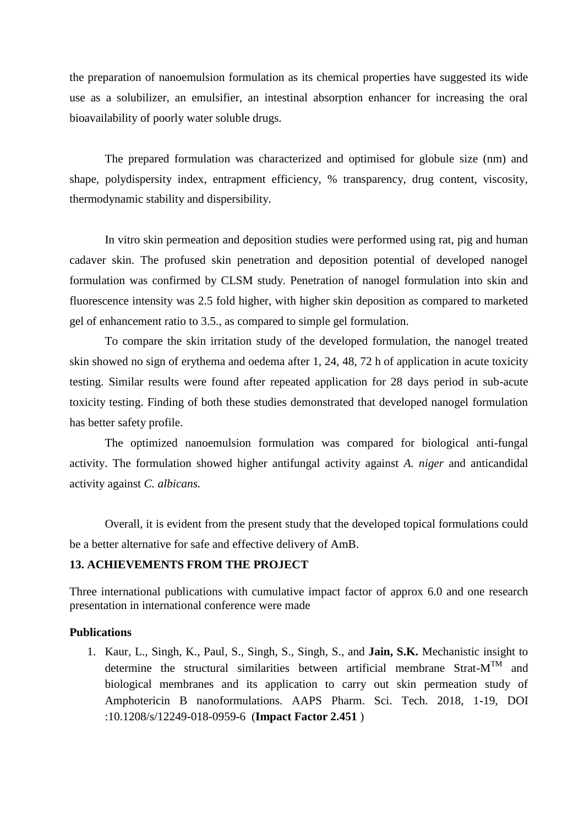the preparation of nanoemulsion formulation as its chemical properties have suggested its wide use as a solubilizer, an emulsifier, an intestinal absorption enhancer for increasing the oral bioavailability of poorly water soluble drugs.

The prepared formulation was characterized and optimised for globule size (nm) and shape, polydispersity index, entrapment efficiency, % transparency, drug content, viscosity, thermodynamic stability and dispersibility.

In vitro skin permeation and deposition studies were performed using rat, pig and human cadaver skin. The profused skin penetration and deposition potential of developed nanogel formulation was confirmed by CLSM study. Penetration of nanogel formulation into skin and fluorescence intensity was 2.5 fold higher, with higher skin deposition as compared to marketed gel of enhancement ratio to 3.5., as compared to simple gel formulation.

To compare the skin irritation study of the developed formulation, the nanogel treated skin showed no sign of erythema and oedema after 1, 24, 48, 72 h of application in acute toxicity testing. Similar results were found after repeated application for 28 days period in sub-acute toxicity testing. Finding of both these studies demonstrated that developed nanogel formulation has better safety profile.

The optimized nanoemulsion formulation was compared for biological anti-fungal activity. The formulation showed higher antifungal activity against *A. niger* and anticandidal activity against *C. albicans.* 

Overall, it is evident from the present study that the developed topical formulations could be a better alternative for safe and effective delivery of AmB.

### **13. ACHIEVEMENTS FROM THE PROJECT**

Three international publications with cumulative impact factor of approx 6.0 and one research presentation in international conference were made

#### **Publications**

1. Kaur, L., Singh, K., Paul, S., Singh, S., Singh, S., and **Jain, S.K.** Mechanistic insight to determine the structural similarities between artificial membrane Strat- $M^{TM}$  and biological membranes and its application to carry out skin permeation study of Amphotericin B nanoformulations. AAPS Pharm. Sci. Tech. 2018, 1-19, DOI :10.1208/s/12249-018-0959-6 (**Impact Factor 2.451** )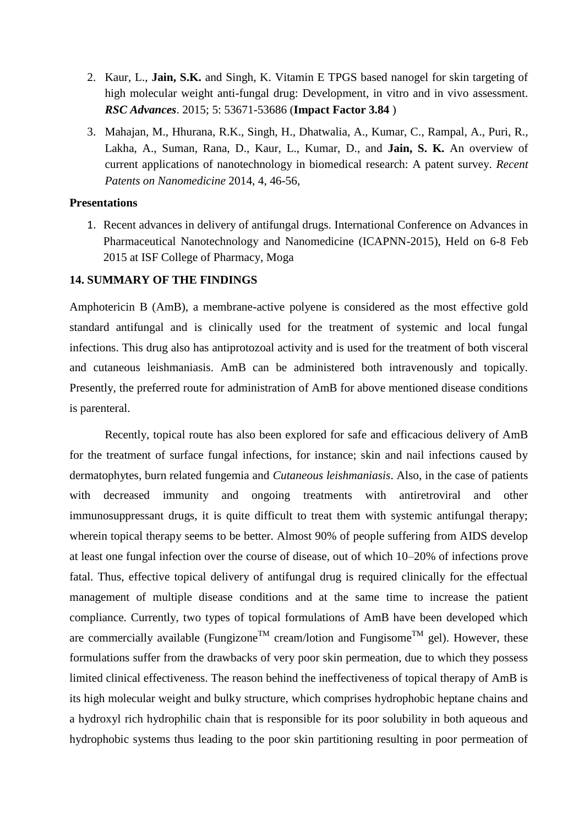- 2. Kaur, L., **Jain, S.K.** and Singh, K. Vitamin E TPGS based nanogel for skin targeting of high molecular weight anti-fungal drug: Development, in vitro and in vivo assessment. *RSC Advances*. 2015; 5: 53671-53686 (**Impact Factor 3.84** )
- 3. Mahajan, M., Hhurana, R.K., Singh, H., Dhatwalia, A., Kumar, C., Rampal, A., Puri, R., Lakha, A., Suman, Rana, D., Kaur, L., Kumar, D., and **Jain, S. K.** An overview of current applications of nanotechnology in biomedical research: A patent survey. *Recent Patents on Nanomedicine* 2014, 4, 46-56,

#### **Presentations**

1. Recent advances in delivery of antifungal drugs. International Conference on Advances in Pharmaceutical Nanotechnology and Nanomedicine (ICAPNN-2015), Held on 6-8 Feb 2015 at ISF College of Pharmacy, Moga

#### **14. SUMMARY OF THE FINDINGS**

Amphotericin B (AmB), a membrane-active polyene is considered as the most effective gold standard antifungal and is clinically used for the treatment of systemic and local fungal infections. This drug also has antiprotozoal activity and is used for the treatment of both visceral and cutaneous leishmaniasis. AmB can be administered both intravenously and topically. Presently, the preferred route for administration of AmB for above mentioned disease conditions is parenteral.

Recently, topical route has also been explored for safe and efficacious delivery of AmB for the treatment of surface fungal infections, for instance; skin and nail infections caused by dermatophytes, burn related fungemia and *Cutaneous leishmaniasis*. Also, in the case of patients with decreased immunity and ongoing treatments with antiretroviral and other immunosuppressant drugs, it is quite difficult to treat them with systemic antifungal therapy; wherein topical therapy seems to be better. Almost 90% of people suffering from AIDS develop at least one fungal infection over the course of disease, out of which 10–20% of infections prove fatal. Thus, effective topical delivery of antifungal drug is required clinically for the effectual management of multiple disease conditions and at the same time to increase the patient compliance. Currently, two types of topical formulations of AmB have been developed which are commercially available (Fungizone<sup>TM</sup> cream/lotion and Fungisome<sup>TM</sup> gel). However, these formulations suffer from the drawbacks of very poor skin permeation, due to which they possess limited clinical effectiveness. The reason behind the ineffectiveness of topical therapy of AmB is its high molecular weight and bulky structure, which comprises hydrophobic heptane chains and a hydroxyl rich hydrophilic chain that is responsible for its poor solubility in both aqueous and hydrophobic systems thus leading to the poor skin partitioning resulting in poor permeation of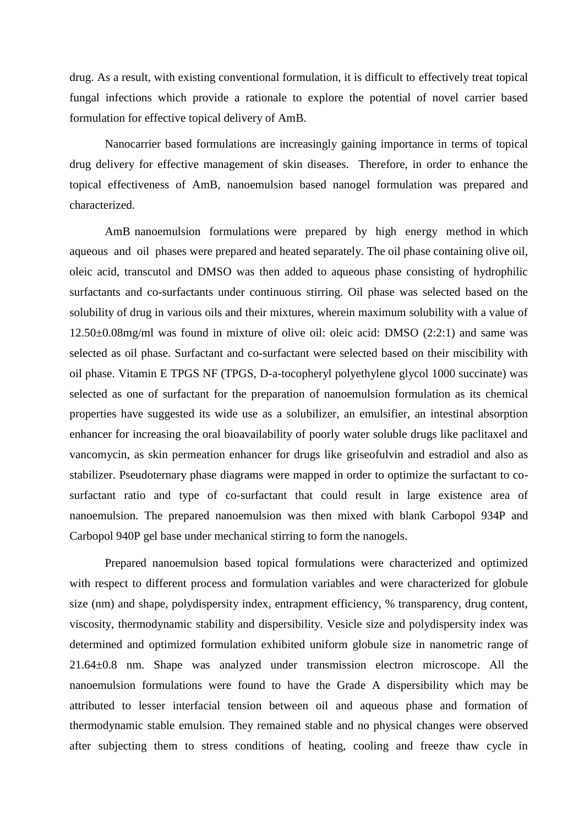drug. As a result, with existing conventional formulation, it is difficult to effectively treat topical fungal infections which provide a rationale to explore the potential of novel carrier based formulation for effective topical delivery of AmB.

Nanocarrier based formulations are increasingly gaining importance in terms of topical drug delivery for effective management of skin diseases. Therefore, in order to enhance the topical effectiveness of AmB, nanoemulsion based nanogel formulation was prepared and characterized.

AmB nanoemulsion formulations were prepared by high energy method in which aqueous and oil phases were prepared and heated separately. The oil phase containing olive oil, oleic acid, transcutol and DMSO was then added to aqueous phase consisting of hydrophilic surfactants and co-surfactants under continuous stirring. Oil phase was selected based on the solubility of drug in various oils and their mixtures, wherein maximum solubility with a value of 12.50±0.08mg/ml was found in mixture of olive oil: oleic acid: DMSO (2:2:1) and same was selected as oil phase. Surfactant and co-surfactant were selected based on their miscibility with oil phase. Vitamin E TPGS NF (TPGS, D-a-tocopheryl polyethylene glycol 1000 succinate) was selected as one of surfactant for the preparation of nanoemulsion formulation as its chemical properties have suggested its wide use as a solubilizer, an emulsifier, an intestinal absorption enhancer for increasing the oral bioavailability of poorly water soluble drugs like paclitaxel and vancomycin, as skin permeation enhancer for drugs like griseofulvin and estradiol and also as stabilizer. Pseudoternary phase diagrams were mapped in order to optimize the surfactant to cosurfactant ratio and type of co-surfactant that could result in large existence area of nanoemulsion. The prepared nanoemulsion was then mixed with blank Carbopol 934P and Carbopol 940P gel base under mechanical stirring to form the nanogels.

Prepared nanoemulsion based topical formulations were characterized and optimized with respect to different process and formulation variables and were characterized for globule size (nm) and shape, polydispersity index, entrapment efficiency, % transparency, drug content, viscosity, thermodynamic stability and dispersibility. Vesicle size and polydispersity index was determined and optimized formulation exhibited uniform globule size in nanometric range of 21.64±0.8 nm. Shape was analyzed under transmission electron microscope. All the nanoemulsion formulations were found to have the Grade A dispersibility which may be attributed to lesser interfacial tension between oil and aqueous phase and formation of thermodynamic stable emulsion. They remained stable and no physical changes were observed after subjecting them to stress conditions of heating, cooling and freeze thaw cycle in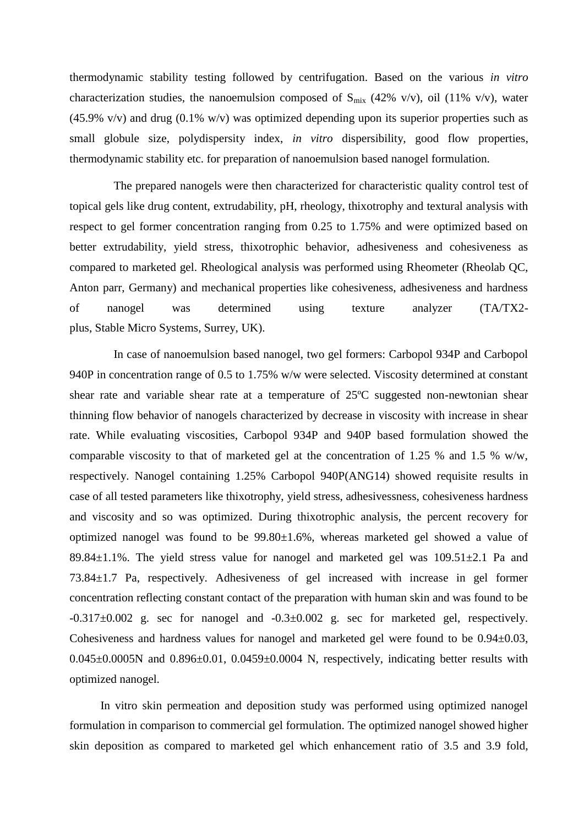thermodynamic stability testing followed by centrifugation. Based on the various *in vitro* characterization studies, the nanoemulsion composed of  $S_{mix}$  (42% v/v), oil (11% v/v), water  $(45.9\%$  v/v) and drug  $(0.1\%$  w/v) was optimized depending upon its superior properties such as small globule size, polydispersity index, *in vitro* dispersibility, good flow properties, thermodynamic stability etc. for preparation of nanoemulsion based nanogel formulation.

The prepared nanogels were then characterized for characteristic quality control test of topical gels like drug content, extrudability, pH, rheology, thixotrophy and textural analysis with respect to gel former concentration ranging from 0.25 to 1.75% and were optimized based on better extrudability, yield stress, thixotrophic behavior, adhesiveness and cohesiveness as compared to marketed gel. Rheological analysis was performed using Rheometer (Rheolab QC, Anton parr, Germany) and mechanical properties like cohesiveness, adhesiveness and hardness of nanogel was determined using texture analyzer (TA/TX2 plus, Stable Micro Systems, Surrey, UK).

In case of nanoemulsion based nanogel, two gel formers: Carbopol 934P and Carbopol 940P in concentration range of 0.5 to 1.75% w/w were selected. Viscosity determined at constant shear rate and variable shear rate at a temperature of 25ºC suggested non-newtonian shear thinning flow behavior of nanogels characterized by decrease in viscosity with increase in shear rate. While evaluating viscosities, Carbopol 934P and 940P based formulation showed the comparable viscosity to that of marketed gel at the concentration of 1.25 % and 1.5 % w/w, respectively. Nanogel containing 1.25% Carbopol 940P(ANG14) showed requisite results in case of all tested parameters like thixotrophy, yield stress, adhesivessness, cohesiveness hardness and viscosity and so was optimized. During thixotrophic analysis, the percent recovery for optimized nanogel was found to be 99.80±1.6%, whereas marketed gel showed a value of 89.84 $\pm$ 1.1%. The yield stress value for nanogel and marketed gel was 109.51 $\pm$ 2.1 Pa and 73.84±1.7 Pa, respectively. Adhesiveness of gel increased with increase in gel former concentration reflecting constant contact of the preparation with human skin and was found to be  $-0.317\pm0.002$  g. sec for nanogel and  $-0.3\pm0.002$  g. sec for marketed gel, respectively. Cohesiveness and hardness values for nanogel and marketed gel were found to be 0.94±0.03,  $0.045\pm0.0005$ N and  $0.896\pm0.01$ ,  $0.0459\pm0.0004$  N, respectively, indicating better results with optimized nanogel.

In vitro skin permeation and deposition study was performed using optimized nanogel formulation in comparison to commercial gel formulation. The optimized nanogel showed higher skin deposition as compared to marketed gel which enhancement ratio of 3.5 and 3.9 fold,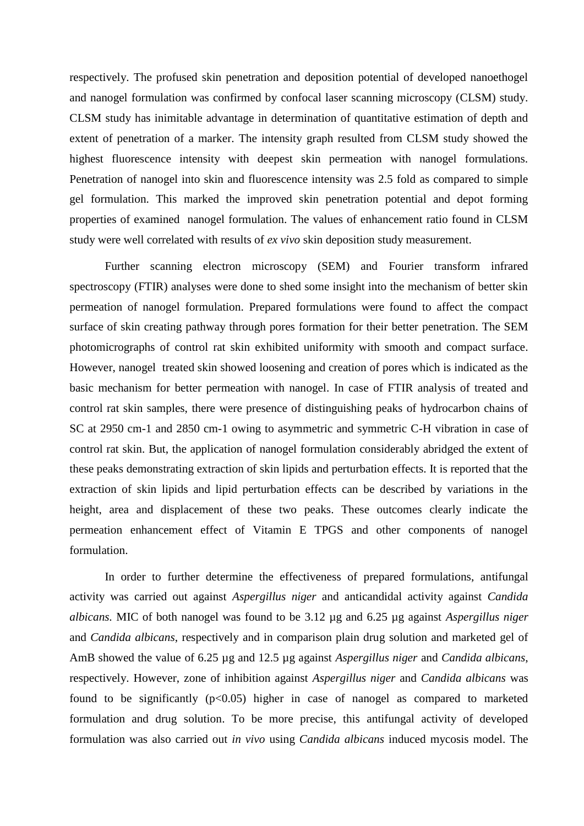respectively. The profused skin penetration and deposition potential of developed nanoethogel and nanogel formulation was confirmed by confocal laser scanning microscopy (CLSM) study. CLSM study has inimitable advantage in determination of quantitative estimation of depth and extent of penetration of a marker. The intensity graph resulted from CLSM study showed the highest fluorescence intensity with deepest skin permeation with nanogel formulations. Penetration of nanogel into skin and fluorescence intensity was 2.5 fold as compared to simple gel formulation. This marked the improved skin penetration potential and depot forming properties of examined nanogel formulation. The values of enhancement ratio found in CLSM study were well correlated with results of *ex vivo* skin deposition study measurement.

Further scanning electron microscopy (SEM) and Fourier transform infrared spectroscopy (FTIR) analyses were done to shed some insight into the mechanism of better skin permeation of nanogel formulation. Prepared formulations were found to affect the compact surface of skin creating pathway through pores formation for their better penetration. The SEM photomicrographs of control rat skin exhibited uniformity with smooth and compact surface. However, nanogel treated skin showed loosening and creation of pores which is indicated as the basic mechanism for better permeation with nanogel. In case of FTIR analysis of treated and control rat skin samples, there were presence of distinguishing peaks of hydrocarbon chains of SC at 2950 cm-1 and 2850 cm-1 owing to asymmetric and symmetric C-H vibration in case of control rat skin. But, the application of nanogel formulation considerably abridged the extent of these peaks demonstrating extraction of skin lipids and perturbation effects. It is reported that the extraction of skin lipids and lipid perturbation effects can be described by variations in the height, area and displacement of these two peaks. These outcomes clearly indicate the permeation enhancement effect of Vitamin E TPGS and other components of nanogel formulation.

In order to further determine the effectiveness of prepared formulations, antifungal activity was carried out against *Aspergillus niger* and anticandidal activity against *Candida albicans.* MIC of both nanogel was found to be 3.12 µg and 6.25 µg against *Aspergillus niger*  and *Candida albicans*, respectively and in comparison plain drug solution and marketed gel of AmB showed the value of 6.25 µg and 12.5 µg against *Aspergillus niger* and *Candida albicans*, respectively. However, zone of inhibition against *Aspergillus niger* and *Candida albicans* was found to be significantly  $(p<0.05)$  higher in case of nanogel as compared to marketed formulation and drug solution. To be more precise, this antifungal activity of developed formulation was also carried out *in vivo* using *Candida albicans* induced mycosis model. The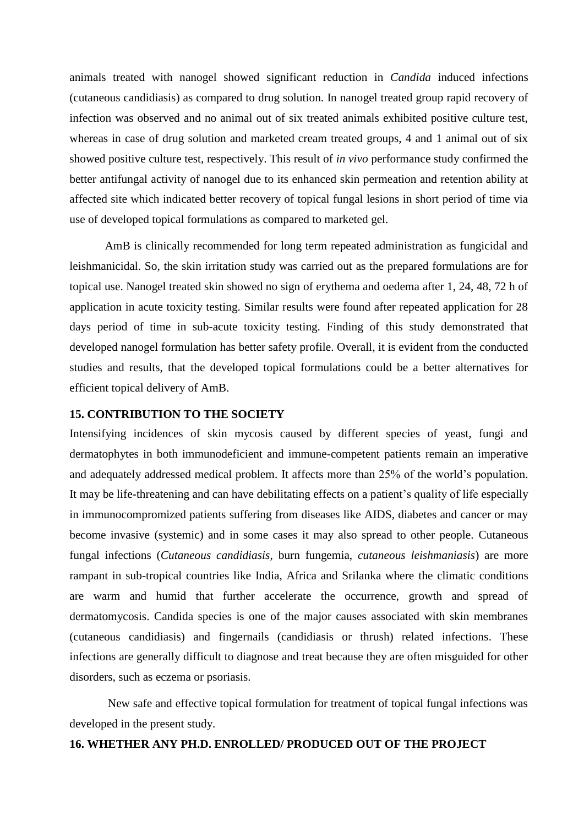animals treated with nanogel showed significant reduction in *Candida* induced infections (cutaneous candidiasis) as compared to drug solution. In nanogel treated group rapid recovery of infection was observed and no animal out of six treated animals exhibited positive culture test, whereas in case of drug solution and marketed cream treated groups, 4 and 1 animal out of six showed positive culture test, respectively. This result of *in vivo* performance study confirmed the better antifungal activity of nanogel due to its enhanced skin permeation and retention ability at affected site which indicated better recovery of topical fungal lesions in short period of time via use of developed topical formulations as compared to marketed gel.

AmB is clinically recommended for long term repeated administration as fungicidal and leishmanicidal. So, the skin irritation study was carried out as the prepared formulations are for topical use. Nanogel treated skin showed no sign of erythema and oedema after 1, 24, 48, 72 h of application in acute toxicity testing. Similar results were found after repeated application for 28 days period of time in sub-acute toxicity testing. Finding of this study demonstrated that developed nanogel formulation has better safety profile. Overall, it is evident from the conducted studies and results, that the developed topical formulations could be a better alternatives for efficient topical delivery of AmB.

#### **15. CONTRIBUTION TO THE SOCIETY**

Intensifying incidences of skin mycosis caused by different species of yeast, fungi and dermatophytes in both immunodeficient and immune-competent patients remain an imperative and adequately addressed medical problem. It affects more than 25% of the world's population. It may be life-threatening and can have debilitating effects on a patient's quality of life especially in immunocompromized patients suffering from diseases like AIDS, diabetes and cancer or may become invasive (systemic) and in some cases it may also spread to other people. Cutaneous fungal infections (*Cutaneous candidiasis,* burn fungemia, *cutaneous leishmaniasis*) are more rampant in sub-tropical countries like India, Africa and Srilanka where the climatic conditions are warm and humid that further accelerate the occurrence, growth and spread of dermatomycosis. Candida species is one of the major causes associated with skin membranes (cutaneous candidiasis) and fingernails (candidiasis or thrush) related infections. These infections are generally difficult to diagnose and treat because they are often misguided for other disorders, such as eczema or psoriasis.

New safe and effective topical formulation for treatment of topical fungal infections was developed in the present study.

#### **16. WHETHER ANY PH.D. ENROLLED/ PRODUCED OUT OF THE PROJECT**